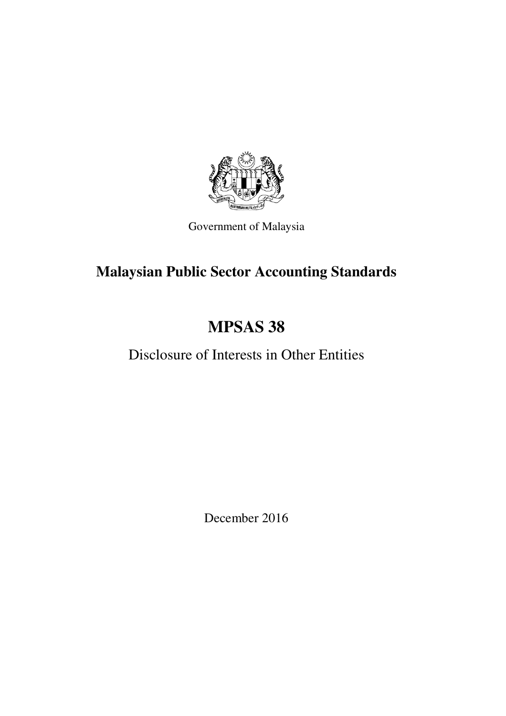

Government of Malaysia

# **Malaysian Public Sector Accounting Standards**

# **MPSAS 38**

# Disclosure of Interests in Other Entities

December 2016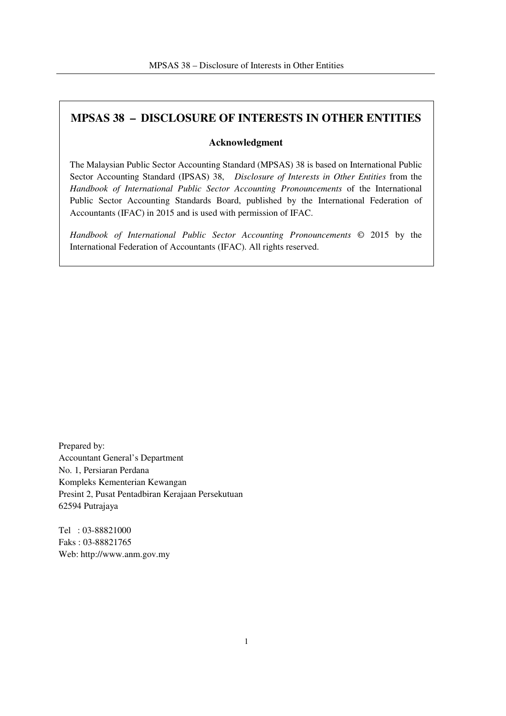## **MPSAS 38 – DISCLOSURE OF INTERESTS IN OTHER ENTITIES**

#### **Acknowledgment**

The Malaysian Public Sector Accounting Standard (MPSAS) 38 is based on International Public Sector Accounting Standard (IPSAS) 38, *Disclosure of Interests in Other Entities* from the *Handbook of International Public Sector Accounting Pronouncements* of the International Public Sector Accounting Standards Board, published by the International Federation of Accountants (IFAC) in 2015 and is used with permission of IFAC.

*Handbook of International Public Sector Accounting Pronouncements* © 2015 by the International Federation of Accountants (IFAC). All rights reserved.

Prepared by: Accountant General's Department No. 1, Persiaran Perdana Kompleks Kementerian Kewangan Presint 2, Pusat Pentadbiran Kerajaan Persekutuan 62594 Putrajaya

Tel : 03-88821000 Faks : 03-88821765 Web: http://www.anm.gov.my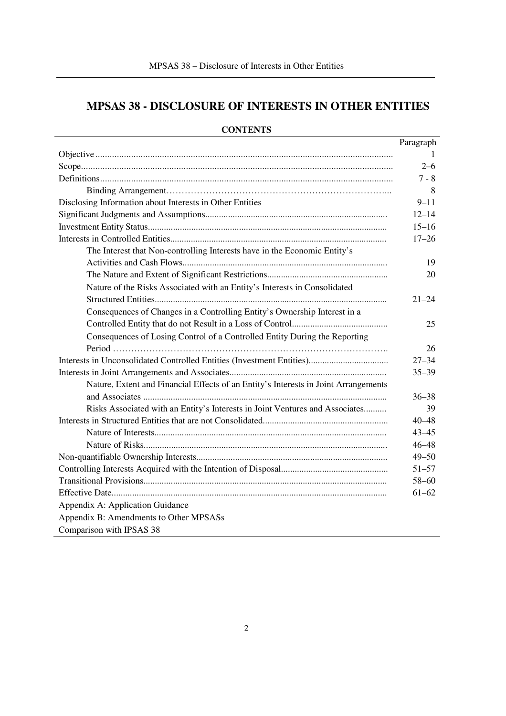## **MPSAS 38 - DISCLOSURE OF INTERESTS IN OTHER ENTITIES**

|                                                                                     | Paragraph |
|-------------------------------------------------------------------------------------|-----------|
|                                                                                     |           |
|                                                                                     | $2 - 6$   |
|                                                                                     | $7 - 8$   |
|                                                                                     | 8         |
| Disclosing Information about Interests in Other Entities                            | $9 - 11$  |
|                                                                                     | $12 - 14$ |
|                                                                                     | $15 - 16$ |
|                                                                                     | $17 - 26$ |
| The Interest that Non-controlling Interests have in the Economic Entity's           |           |
|                                                                                     | 19        |
|                                                                                     | 20        |
| Nature of the Risks Associated with an Entity's Interests in Consolidated           |           |
|                                                                                     | $21 - 24$ |
| Consequences of Changes in a Controlling Entity's Ownership Interest in a           |           |
|                                                                                     | 25        |
| Consequences of Losing Control of a Controlled Entity During the Reporting          |           |
|                                                                                     | 26        |
|                                                                                     | $27 - 34$ |
|                                                                                     | $35 - 39$ |
| Nature, Extent and Financial Effects of an Entity's Interests in Joint Arrangements |           |
|                                                                                     | $36 - 38$ |
| Risks Associated with an Entity's Interests in Joint Ventures and Associates        | 39        |
|                                                                                     | $40 - 48$ |
|                                                                                     | $43 - 45$ |
|                                                                                     | $46 - 48$ |
|                                                                                     | $49 - 50$ |
|                                                                                     | $51 - 57$ |
|                                                                                     | $58 - 60$ |
|                                                                                     | $61 - 62$ |
| Appendix A: Application Guidance                                                    |           |
| Appendix B: Amendments to Other MPSASs                                              |           |
| Comparison with IPSAS 38                                                            |           |

### **CONTENTS**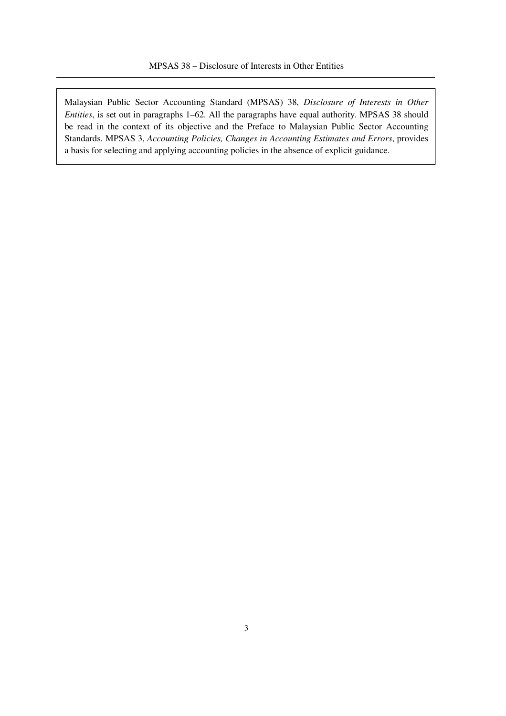Malaysian Public Sector Accounting Standard (MPSAS) 38, *Disclosure of Interests in Other Entities*, is set out in paragraphs 1–62. All the paragraphs have equal authority. MPSAS 38 should be read in the context of its objective and the Preface to Malaysian Public Sector Accounting Standards. MPSAS 3, *Accounting Policies, Changes in Accounting Estimates and Errors*, provides a basis for selecting and applying accounting policies in the absence of explicit guidance.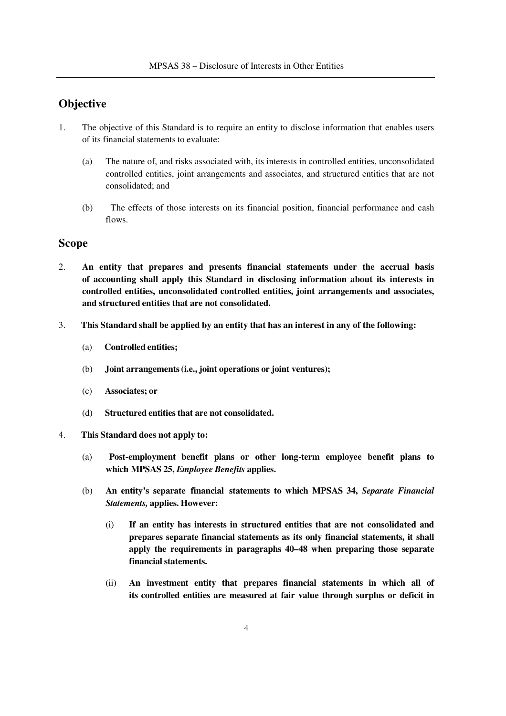## **Objective**

- 1. The objective of this Standard is to require an entity to disclose information that enables users of its financial statements to evaluate:
	- (a) The nature of, and risks associated with, its interests in controlled entities, unconsolidated controlled entities, joint arrangements and associates, and structured entities that are not consolidated; and
	- (b) The effects of those interests on its financial position, financial performance and cash flows.

#### **Scope**

- 2. **An entity that prepares and presents financial statements under the accrual basis of accounting shall apply this Standard in disclosing information about its interests in controlled entities, unconsolidated controlled entities, joint arrangements and associates, and structured entities that are not consolidated.**
- 3. **This Standard shall be applied by an entity that has an interest in any of the following:**
	- (a) **Controlled entities;**
	- (b) **Joint arrangements (i.e., joint operations or joint ventures);**
	- (c) **Associates; or**
	- (d) **Structured entities that are not consolidated.**
- 4. **This Standard does not apply to:**
	- (a) **Post-employment benefit plans or other long-term employee benefit plans to which MPSAS 25,** *Employee Benefits* **applies.**
	- (b) **An entity's separate financial statements to which MPSAS 34,** *Separate Financial Statements,* **applies. However:**
		- (i) **If an entity has interests in structured entities that are not consolidated and prepares separate financial statements as its only financial statements, it shall apply the requirements in paragraphs 40–48 when preparing those separate financial statements.**
		- (ii) **An investment entity that prepares financial statements in which all of its controlled entities are measured at fair value through surplus or deficit in**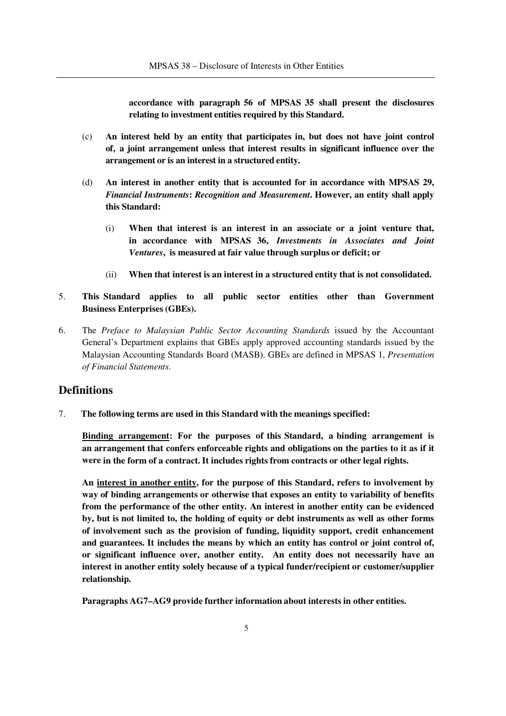**accordance with paragraph 56 of MPSAS 35 shall present the disclosures relating to investment entities required by this Standard.**

- (c) **An interest held by an entity that participates in, but does not have joint control of, a joint arrangement unless that interest results in significant influence over the arrangement or is an interest in a structured entity.**
- (d) **An interest in another entity that is accounted for in accordance with MPSAS 29,**  *Financial Instruments***:** *Recognition and Measurement***. However, an entity shall apply this Standard:**
	- (i) **When that interest is an interest in an associate or a joint venture that, in accordance with MPSAS 36,** *Investments in Associates and Joint Ventures***, is measured at fair value through surplus or deficit; or**
	- (ii) **When that interest is an interest in a structured entity that is not consolidated.**
- 5. **This Standard applies to all public sector entities other than Government Business Enterprises (GBEs).**
- 6. The *Preface to Malaysian Public Sector Accounting Standards* issued by the Accountant General's Department explains that GBEs apply approved accounting standards issued by the Malaysian Accounting Standards Board (MASB). GBEs are defined in MPSAS 1, *Presentation of Financial Statements*.

## **Definitions**

7. **The following terms are used in this Standard with the meanings specified:**

**Binding arrangement: For the purposes of this Standard, a binding arrangement is an arrangement that confers enforceable rights and obligations on the parties to it as if it were in the form of a contract. It includes rights from contracts or other legal rights.**

**An interest in another entity, for the purpose of this Standard, refers to involvement by way of binding arrangements or otherwise that exposes an entity to variability of benefits from the performance of the other entity. An interest in another entity can be evidenced by, but is not limited to, the holding of equity or debt instruments as well as other forms of involvement such as the provision of funding, liquidity support, credit enhancement and guarantees. It includes the means by which an entity has control or joint control of, or significant influence over, another entity. An entity does not necessarily have an interest in another entity solely because of a typical funder/recipient or customer/supplier relationship.**

**Paragraphs AG7–AG9 provide further information about interests in other entities.**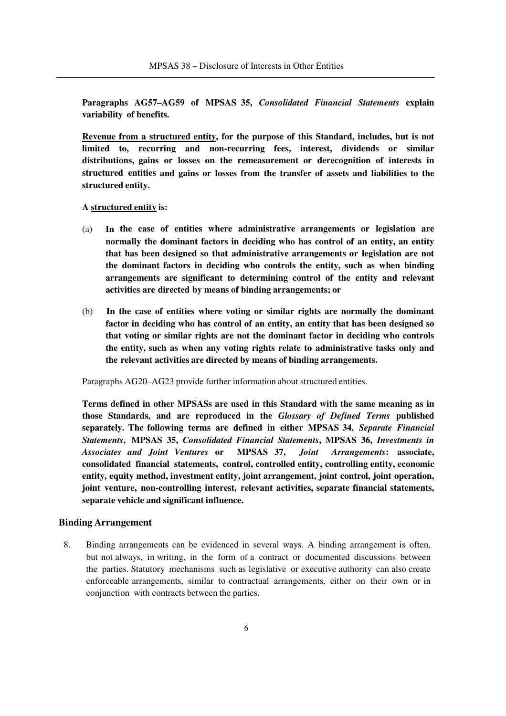**Paragraphs AG57–AG59 of MPSAS 35,** *Consolidated Financial Statements* **explain variability of benefits.** 

**Revenue from a structured entity, for the purpose of this Standard, includes, but is not limited to, recurring and non-recurring fees, interest, dividends or similar distributions, gains or losses on the remeasurement or derecognition of interests in structured entities and gains or losses from the transfer of assets and liabilities to the structured entity.**

#### **A structured entity is:**

- (a) **In the case of entities where administrative arrangements or legislation are normally the dominant factors in deciding who has control of an entity, an entity that has been designed so that administrative arrangements or legislation are not the dominant factors in deciding who controls the entity, such as when binding arrangements are significant to determining control of the entity and relevant activities are directed by means of binding arrangements; or**
- (b) **In the case of entities where voting or similar rights are normally the dominant factor in deciding who has control of an entity, an entity that has been designed so that voting or similar rights are not the dominant factor in deciding who controls the entity, such as when any voting rights relate to administrative tasks only and the relevant activities are directed by means of binding arrangements.**

Paragraphs AG20–AG23 provide further information about structured entities.

**Terms defined in other MPSASs are used in this Standard with the same meaning as in those Standards, and are reproduced in the** *Glossary of Defined Terms* **published separately. The following terms are defined in either MPSAS 34,** *Separate Financial Statements***, MPSAS 35,** *Consolidated Financial Statements***, MPSAS 36,** *Investments in Associates and Joint Ventures* **or MPSAS 37,** *Joint Arrangements***: associate, consolidated financial statements, control, controlled entity, controlling entity, economic entity, equity method, investment entity, joint arrangement, joint control, joint operation, joint venture, non-controlling interest, relevant activities, separate financial statements, separate vehicle and significant influence.**

#### **Binding Arrangement**

8. Binding arrangements can be evidenced in several ways. A binding arrangement is often, but not always, in writing, in the form of a contract or documented discussions between the parties. Statutory mechanisms such as legislative or executive authority can also create enforceable arrangements, similar to contractual arrangements, either on their own or in conjunction with contracts between the parties.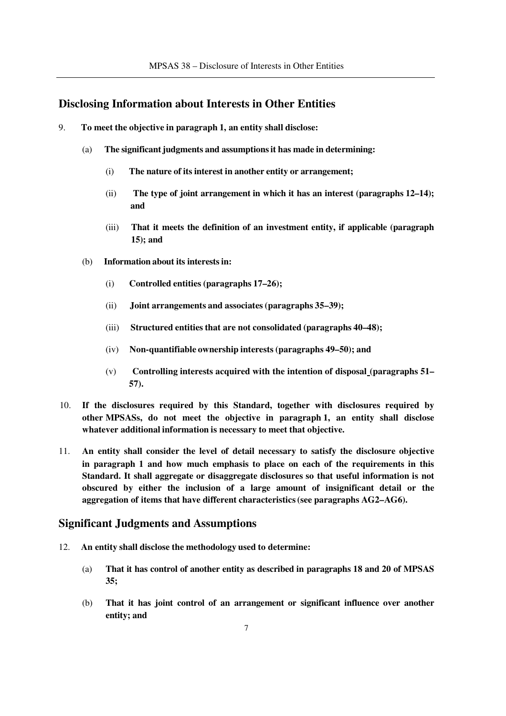## **Disclosing Information about Interests in Other Entities**

- 9. **To meet the objective in paragraph 1, an entity shall disclose:**
	- (a) **The significant judgments and assumptions it has made in determining:**
		- (i) **The nature of its interest in another entity or arrangement;**
		- (ii) **The type of joint arrangement in which it has an interest (paragraphs 12–14); and**
		- (iii) **That it meets the definition of an investment entity, if applicable (paragraph 15); and**
	- (b) **Information about its interests in:**
		- (i) **Controlled entities (paragraphs 17–26);**
		- (ii) **Joint arrangements and associates (paragraphs 35–39);**
		- (iii) **Structured entities that are not consolidated (paragraphs 40–48);**
		- (iv) **Non-quantifiable ownership interests (paragraphs 49–50); and**
		- (v) **Controlling interests acquired with the intention of disposal (paragraphs 51– 57).**
- 10. **If the disclosures required by this Standard, together with disclosures required by other MPSASs, do not meet the objective in paragraph 1, an entity shall disclose whatever additional information is necessary to meet that objective.**
- 11. **An entity shall consider the level of detail necessary to satisfy the disclosure objective in paragraph 1 and how much emphasis to place on each of the requirements in this Standard. It shall aggregate or disaggregate disclosures so that useful information is not obscured by either the inclusion of a large amount of insignificant detail or the aggregation of items that have different characteristics (see paragraphs AG2–AG6).**

## **Significant Judgments and Assumptions**

- 12. **An entity shall disclose the methodology used to determine:**
	- (a) **That it has control of another entity as described in paragraphs 18 and 20 of MPSAS 35;**
	- (b) **That it has joint control of an arrangement or significant influence over another entity; and**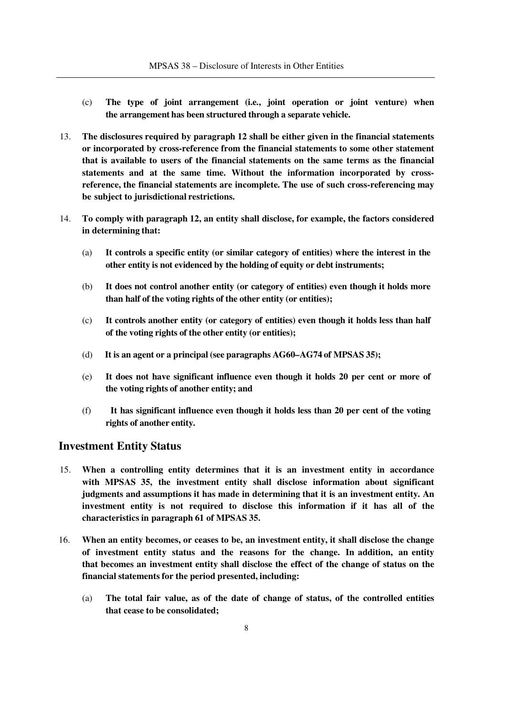- (c) **The type of joint arrangement (i.e., joint operation or joint venture) when the arrangement has been structured through a separate vehicle.**
- 13. **The disclosures required by paragraph 12 shall be either given in the financial statements or incorporated by cross-reference from the financial statements to some other statement that is available to users of the financial statements on the same terms as the financial statements and at the same time. Without the information incorporated by crossreference, the financial statements are incomplete. The use of such cross-referencing may be subject to jurisdictional restrictions.**
- 14. **To comply with paragraph 12, an entity shall disclose, for example, the factors considered in determining that:**
	- (a) **It controls a specific entity (or similar category of entities) where the interest in the other entity is not evidenced by the holding of equity or debt instruments;**
	- (b) **It does not control another entity (or category of entities) even though it holds more than half of the voting rights of the other entity (or entities);**
	- (c) **It controls another entity (or category of entities) even though it holds less than half of the voting rights of the other entity (or entities);**
	- (d) **It is an agent or a principal (see paragraphs AG60–AG74 of MPSAS 35);**
	- (e) **It does not have significant influence even though it holds 20 per cent or more of the voting rights of another entity; and**
	- (f) **It has significant influence even though it holds less than 20 per cent of the voting rights of another entity.**

## **Investment Entity Status**

- 15. **When a controlling entity determines that it is an investment entity in accordance with MPSAS 35, the investment entity shall disclose information about significant judgments and assumptions it has made in determining that it is an investment entity. An investment entity is not required to disclose this information if it has all of the characteristics in paragraph 61 of MPSAS 35.**
- 16. **When an entity becomes, or ceases to be, an investment entity, it shall disclose the change of investment entity status and the reasons for the change. In addition, an entity that becomes an investment entity shall disclose the effect of the change of status on the financial statements for the period presented, including:** 
	- (a) **The total fair value, as of the date of change of status, of the controlled entities that cease to be consolidated;**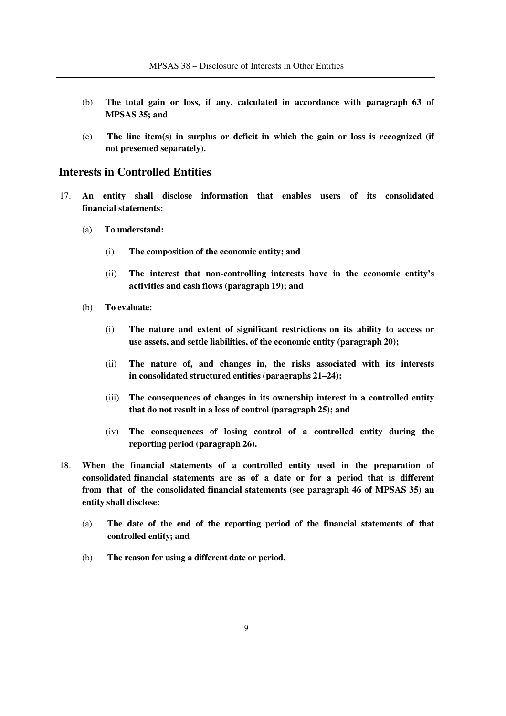- (b) **The total gain or loss, if any, calculated in accordance with paragraph 63 of MPSAS 35; and**
- (c) **The line item(s) in surplus or deficit in which the gain or loss is recognized (if not presented separately).**

## **Interests in Controlled Entities**

- 17. **An entity shall disclose information that enables users of its consolidated financial statements:**
	- (a) **To understand:**
		- (i) **The composition of the economic entity; and**
		- (ii) **The interest that non-controlling interests have in the economic entity's activities and cash flows (paragraph 19); and**
	- (b) **To evaluate:**
		- (i) **The nature and extent of significant restrictions on its ability to access or use assets, and settle liabilities, of the economic entity (paragraph 20);**
		- (ii) **The nature of, and changes in, the risks associated with its interests in consolidated structured entities (paragraphs 21–24);**
		- (iii) **The consequences of changes in its ownership interest in a controlled entity that do not result in a loss of control (paragraph 25); and**
		- (iv) **The consequences of losing control of a controlled entity during the reporting period (paragraph 26).**
- 18. **When the financial statements of a controlled entity used in the preparation of consolidated financial statements are as of a date or for a period that is different from that of the consolidated financial statements (see paragraph 46 of MPSAS 35) an entity shall disclose:**
	- (a) **The date of the end of the reporting period of the financial statements of that controlled entity; and**
	- (b) **The reason for using a different date or period.**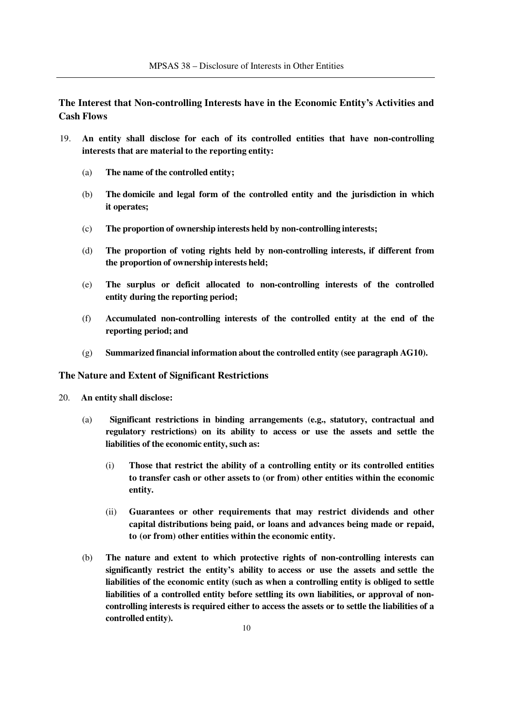**The Interest that Non-controlling Interests have in the Economic Entity's Activities and Cash Flows**

- 19. **An entity shall disclose for each of its controlled entities that have non-controlling interests that are material to the reporting entity:**
	- (a) **The name of the controlled entity;**
	- (b) **The domicile and legal form of the controlled entity and the jurisdiction in which it operates;**
	- (c) **The proportion of ownership interests held by non-controlling interests;**
	- (d) **The proportion of voting rights held by non-controlling interests, if different from the proportion of ownership interests held;**
	- (e) **The surplus or deficit allocated to non-controlling interests of the controlled entity during the reporting period;**
	- (f) **Accumulated non-controlling interests of the controlled entity at the end of the reporting period; and**
	- (g) **Summarized financial information about the controlled entity (see paragraph AG10).**

#### **The Nature and Extent of Significant Restrictions**

- 20. **An entity shall disclose:**
	- (a) **Significant restrictions in binding arrangements (e.g., statutory, contractual and regulatory restrictions) on its ability to access or use the assets and settle the liabilities of the economic entity, such as:**
		- (i) **Those that restrict the ability of a controlling entity or its controlled entities to transfer cash or other assets to (or from) other entities within the economic entity.**
		- (ii) **Guarantees or other requirements that may restrict dividends and other capital distributions being paid, or loans and advances being made or repaid, to (or from) other entities within the economic entity.**
	- (b) **The nature and extent to which protective rights of non-controlling interests can significantly restrict the entity's ability to access or use the assets and settle the liabilities of the economic entity (such as when a controlling entity is obliged to settle liabilities of a controlled entity before settling its own liabilities, or approval of noncontrolling interests is required either to access the assets or to settle the liabilities of a controlled entity).**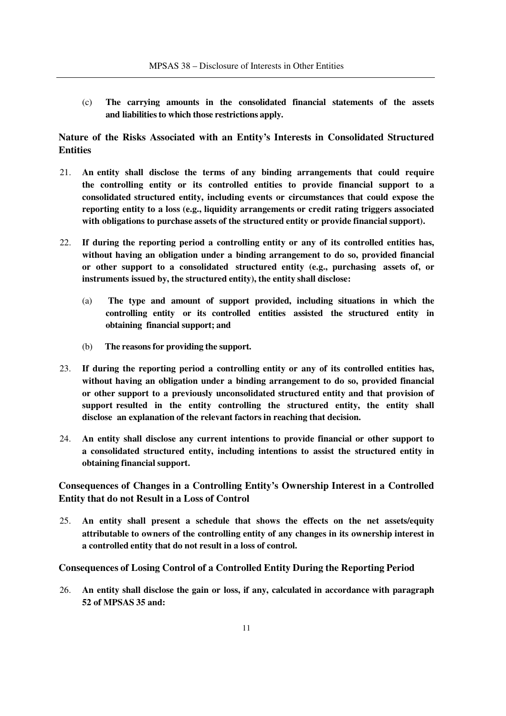(c) **The carrying amounts in the consolidated financial statements of the assets and liabilities to which those restrictions apply.**

## **Nature of the Risks Associated with an Entity's Interests in Consolidated Structured Entities**

- 21. **An entity shall disclose the terms of any binding arrangements that could require the controlling entity or its controlled entities to provide financial support to a consolidated structured entity, including events or circumstances that could expose the reporting entity to a loss (e.g., liquidity arrangements or credit rating triggers associated with obligations to purchase assets of the structured entity or provide financial support).**
- 22. **If during the reporting period a controlling entity or any of its controlled entities has, without having an obligation under a binding arrangement to do so, provided financial or other support to a consolidated structured entity (e.g., purchasing assets of, or instruments issued by, the structured entity), the entity shall disclose:**
	- (a) **The type and amount of support provided, including situations in which the controlling entity or its controlled entities assisted the structured entity in obtaining financial support; and**
	- (b) **The reasons for providing the support.**
- 23. **If during the reporting period a controlling entity or any of its controlled entities has, without having an obligation under a binding arrangement to do so, provided financial or other support to a previously unconsolidated structured entity and that provision of support resulted in the entity controlling the structured entity, the entity shall disclose an explanation of the relevant factors in reaching that decision.**
- 24. **An entity shall disclose any current intentions to provide financial or other support to a consolidated structured entity, including intentions to assist the structured entity in obtaining financial support.**

## **Consequences of Changes in a Controlling Entity's Ownership Interest in a Controlled Entity that do not Result in a Loss of Control**

25. **An entity shall present a schedule that shows the effects on the net assets/equity attributable to owners of the controlling entity of any changes in its ownership interest in a controlled entity that do not result in a loss of control.**

#### **Consequences of Losing Control of a Controlled Entity During the Reporting Period**

26. **An entity shall disclose the gain or loss, if any, calculated in accordance with paragraph 52 of MPSAS 35 and:**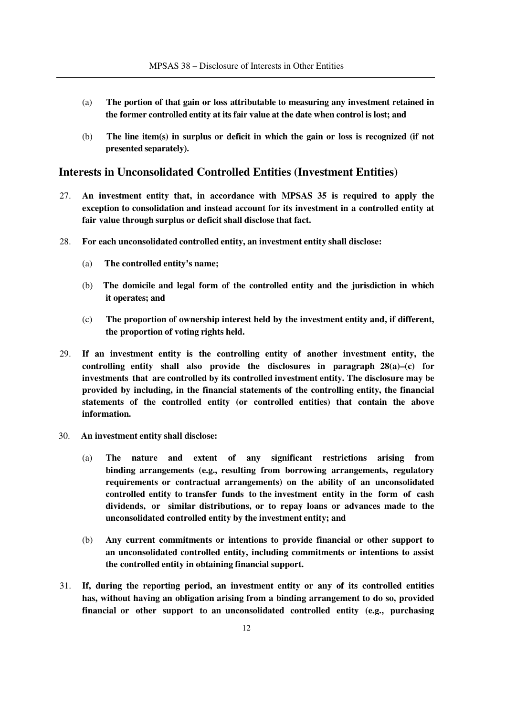- (a) **The portion of that gain or loss attributable to measuring any investment retained in the former controlled entity at its fair value at the date when control is lost; and**
- (b) **The line item(s) in surplus or deficit in which the gain or loss is recognized (if not presented separately).**

## **Interests in Unconsolidated Controlled Entities (Investment Entities)**

- 27. **An investment entity that, in accordance with MPSAS 35 is required to apply the exception to consolidation and instead account for its investment in a controlled entity at fair value through surplus or deficit shall disclose that fact.**
- 28. **For each unconsolidated controlled entity, an investment entity shall disclose:** 
	- (a) **The controlled entity's name;**
	- (b) **The domicile and legal form of the controlled entity and the jurisdiction in which it operates; and**
	- (c) **The proportion of ownership interest held by the investment entity and, if different, the proportion of voting rights held.**
- 29. **If an investment entity is the controlling entity of another investment entity, the controlling entity shall also provide the disclosures in paragraph 28(a)–(c) for investments that are controlled by its controlled investment entity. The disclosure may be provided by including, in the financial statements of the controlling entity, the financial statements of the controlled entity (or controlled entities) that contain the above information.**
- 30. **An investment entity shall disclose:**
	- (a) **The nature and extent of any significant restrictions arising from binding arrangements (e.g., resulting from borrowing arrangements, regulatory requirements or contractual arrangements) on the ability of an unconsolidated controlled entity to transfer funds to the investment entity in the form of cash dividends, or similar distributions, or to repay loans or advances made to the unconsolidated controlled entity by the investment entity; and**
	- (b) **Any current commitments or intentions to provide financial or other support to an unconsolidated controlled entity, including commitments or intentions to assist the controlled entity in obtaining financial support.**
- 31. **If, during the reporting period, an investment entity or any of its controlled entities has, without having an obligation arising from a binding arrangement to do so, provided financial or other support to an unconsolidated controlled entity (e.g., purchasing**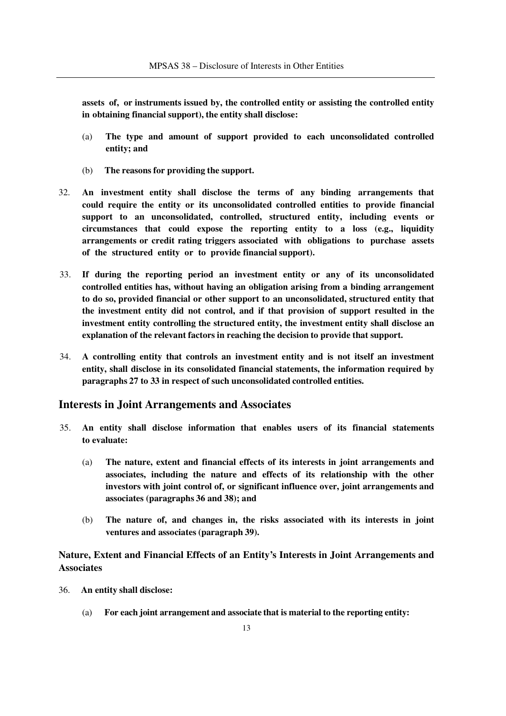**assets of, or instruments issued by, the controlled entity or assisting the controlled entity in obtaining financial support), the entity shall disclose:**

- (a) **The type and amount of support provided to each unconsolidated controlled entity; and**
- (b) **The reasons for providing the support.**
- 32. **An investment entity shall disclose the terms of any binding arrangements that could require the entity or its unconsolidated controlled entities to provide financial support to an unconsolidated, controlled, structured entity, including events or circumstances that could expose the reporting entity to a loss (e.g., liquidity arrangements or credit rating triggers associated with obligations to purchase assets of the structured entity or to provide financial support).**
- 33. **If during the reporting period an investment entity or any of its unconsolidated controlled entities has, without having an obligation arising from a binding arrangement to do so, provided financial or other support to an unconsolidated, structured entity that the investment entity did not control, and if that provision of support resulted in the investment entity controlling the structured entity, the investment entity shall disclose an explanation of the relevant factors in reaching the decision to provide that support.**
- 34. **A controlling entity that controls an investment entity and is not itself an investment entity, shall disclose in its consolidated financial statements, the information required by paragraphs 27 to 33 in respect of such unconsolidated controlled entities.**

#### **Interests in Joint Arrangements and Associates**

- 35. **An entity shall disclose information that enables users of its financial statements to evaluate:**
	- (a) **The nature, extent and financial effects of its interests in joint arrangements and associates, including the nature and effects of its relationship with the other investors with joint control of, or significant influence over, joint arrangements and associates (paragraphs 36 and 38); and**
	- (b) **The nature of, and changes in, the risks associated with its interests in joint ventures and associates (paragraph 39).**

**Nature, Extent and Financial Effects of an Entity's Interests in Joint Arrangements and Associates**

- 36. **An entity shall disclose:**
	- (a) **For each joint arrangement and associate that is material to the reporting entity:**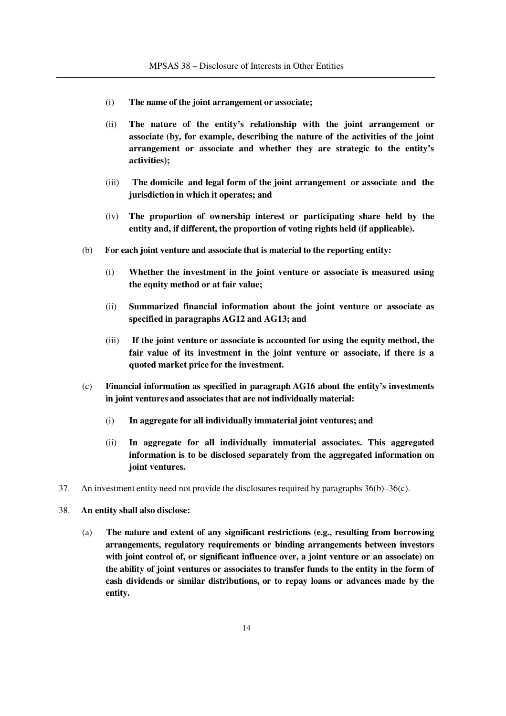- (i) **The name of the joint arrangement or associate;**
- (ii) **The nature of the entity's relationship with the joint arrangement or associate (by, for example, describing the nature of the activities of the joint arrangement or associate and whether they are strategic to the entity's activities);**
- (iii) **The domicile and legal form of the joint arrangement or associate and the jurisdiction in which it operates; and**
- (iv) **The proportion of ownership interest or participating share held by the entity and, if different, the proportion of voting rights held (if applicable).**
- (b) **For each joint venture and associate that is material to the reporting entity:** 
	- (i) **Whether the investment in the joint venture or associate is measured using the equity method or at fair value;**
	- (ii) **Summarized financial information about the joint venture or associate as specified in paragraphs AG12 and AG13; and**
	- (iii) **If the joint venture or associate is accounted for using the equity method, the fair value of its investment in the joint venture or associate, if there is a quoted market price for the investment.**
- (c) **Financial information as specified in paragraph AG16 about the entity's investments in joint ventures and associates that are not individually material:**
	- (i) **In aggregate for all individually immaterial joint ventures; and**
	- (ii) **In aggregate for all individually immaterial associates. This aggregated information is to be disclosed separately from the aggregated information on joint ventures.**
- 37. An investment entity need not provide the disclosures required by paragraphs 36(b)–36(c).
- 38. **An entity shall also disclose:**
	- (a) **The nature and extent of any significant restrictions (e.g., resulting from borrowing arrangements, regulatory requirements or binding arrangements between investors with joint control of, or significant influence over, a joint venture or an associate) on the ability of joint ventures or associates to transfer funds to the entity in the form of cash dividends or similar distributions, or to repay loans or advances made by the entity.**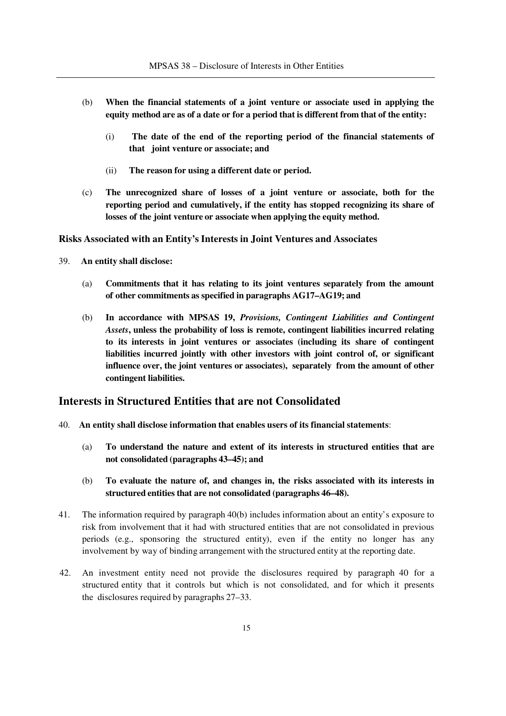- (b) **When the financial statements of a joint venture or associate used in applying the equity method are as of a date or for a period that is different from that of the entity:**
	- (i) **The date of the end of the reporting period of the financial statements of that joint venture or associate; and**
	- (ii) **The reason for using a different date or period.**
- (c) **The unrecognized share of losses of a joint venture or associate, both for the reporting period and cumulatively, if the entity has stopped recognizing its share of losses of the joint venture or associate when applying the equity method.**

**Risks Associated with an Entity's Interests in Joint Ventures and Associates**

- 39. **An entity shall disclose:**
	- (a) **Commitments that it has relating to its joint ventures separately from the amount of other commitments as specified in paragraphs AG17–AG19; and**
	- (b) **In accordance with MPSAS 19,** *Provisions, Contingent Liabilities and Contingent Assets***, unless the probability of loss is remote, contingent liabilities incurred relating to its interests in joint ventures or associates (including its share of contingent liabilities incurred jointly with other investors with joint control of, or significant influence over, the joint ventures or associates), separately from the amount of other contingent liabilities.**

### **Interests in Structured Entities that are not Consolidated**

- 40. **An entity shall disclose information that enables users of its financial statements**:
	- (a) **To understand the nature and extent of its interests in structured entities that are not consolidated (paragraphs 43–45); and**
	- (b) **To evaluate the nature of, and changes in, the risks associated with its interests in structured entities that are not consolidated (paragraphs 46–48).**
- 41. The information required by paragraph 40(b) includes information about an entity's exposure to risk from involvement that it had with structured entities that are not consolidated in previous periods (e.g., sponsoring the structured entity), even if the entity no longer has any involvement by way of binding arrangement with the structured entity at the reporting date.
- 42. An investment entity need not provide the disclosures required by paragraph 40 for a structured entity that it controls but which is not consolidated, and for which it presents the disclosures required by paragraphs 27–33.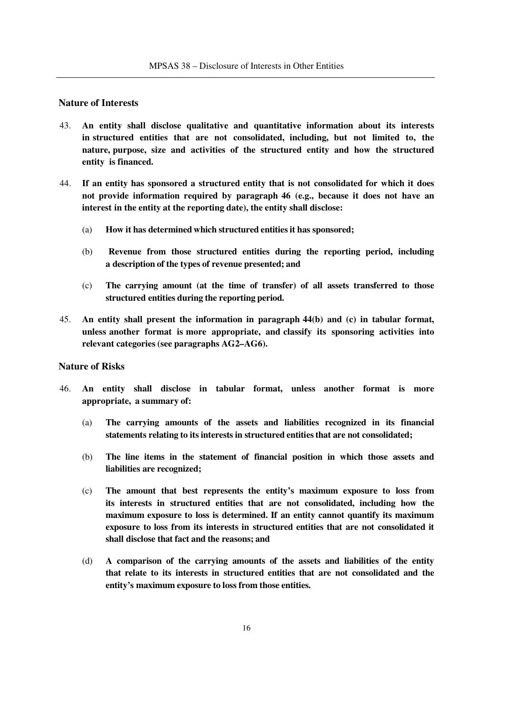#### **Nature of Interests**

- 43. **An entity shall disclose qualitative and quantitative information about its interests in structured entities that are not consolidated, including, but not limited to, the nature, purpose, size and activities of the structured entity and how the structured entity is financed.**
- 44. **If an entity has sponsored a structured entity that is not consolidated for which it does not provide information required by paragraph 46 (e.g., because it does not have an interest in the entity at the reporting date), the entity shall disclose:**
	- (a) **How it has determined which structured entities it has sponsored;**
	- (b) **Revenue from those structured entities during the reporting period, including a description of the types of revenue presented; and**
	- (c) **The carrying amount (at the time of transfer) of all assets transferred to those structured entities during the reporting period.**
- 45. **An entity shall present the information in paragraph 44(b) and (c) in tabular format, unless another format is more appropriate, and classify its sponsoring activities into relevant categories (see paragraphs AG2–AG6).**

#### **Nature of Risks**

- 46. **An entity shall disclose in tabular format, unless another format is more appropriate, a summary of:**
	- (a) **The carrying amounts of the assets and liabilities recognized in its financial statements relating to its interests in structured entities that are not consolidated;**
	- (b) **The line items in the statement of financial position in which those assets and liabilities are recognized;**
	- (c) **The amount that best represents the entity's maximum exposure to loss from its interests in structured entities that are not consolidated, including how the maximum exposure to loss is determined. If an entity cannot quantify its maximum exposure to loss from its interests in structured entities that are not consolidated it shall disclose that fact and the reasons; and**
	- (d) **A comparison of the carrying amounts of the assets and liabilities of the entity that relate to its interests in structured entities that are not consolidated and the entity's maximum exposure to loss from those entities.**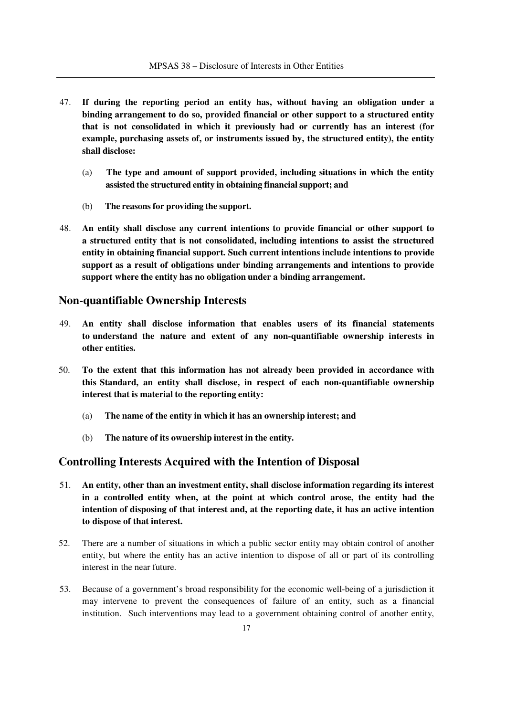- 47. **If during the reporting period an entity has, without having an obligation under a binding arrangement to do so, provided financial or other support to a structured entity that is not consolidated in which it previously had or currently has an interest (for example, purchasing assets of, or instruments issued by, the structured entity), the entity shall disclose:**
	- (a) **The type and amount of support provided, including situations in which the entity assisted the structured entity in obtaining financial support; and**
	- (b) **The reasons for providing the support.**
- 48. **An entity shall disclose any current intentions to provide financial or other support to a structured entity that is not consolidated, including intentions to assist the structured entity in obtaining financial support. Such current intentions include intentions to provide support as a result of obligations under binding arrangements and intentions to provide support where the entity has no obligation under a binding arrangement.**

#### **Non-quantifiable Ownership Interests**

- 49. **An entity shall disclose information that enables users of its financial statements to understand the nature and extent of any non-quantifiable ownership interests in other entities.**
- 50. **To the extent that this information has not already been provided in accordance with this Standard, an entity shall disclose, in respect of each non-quantifiable ownership interest that is material to the reporting entity:**
	- (a) **The name of the entity in which it has an ownership interest; and**
	- (b) **The nature of its ownership interest in the entity.**

## **Controlling Interests Acquired with the Intention of Disposal**

- 51. **An entity, other than an investment entity, shall disclose information regarding its interest in a controlled entity when, at the point at which control arose, the entity had the intention of disposing of that interest and, at the reporting date, it has an active intention to dispose of that interest.**
- 52. There are a number of situations in which a public sector entity may obtain control of another entity, but where the entity has an active intention to dispose of all or part of its controlling interest in the near future.
- 53. Because of a government's broad responsibility for the economic well-being of a jurisdiction it may intervene to prevent the consequences of failure of an entity, such as a financial institution. Such interventions may lead to a government obtaining control of another entity,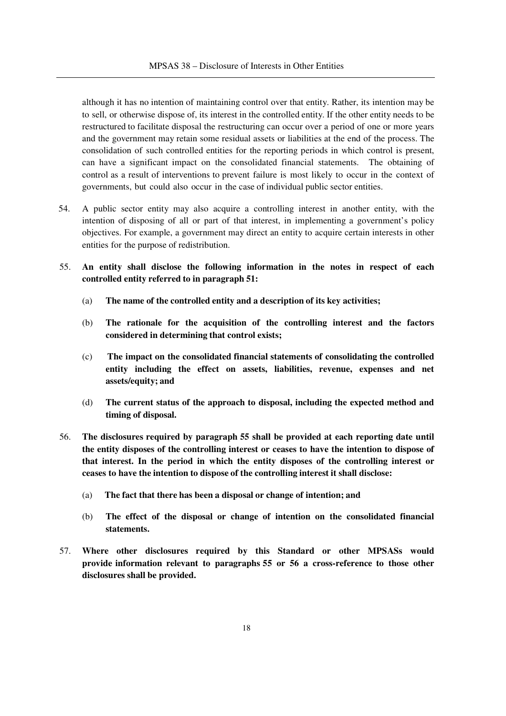although it has no intention of maintaining control over that entity. Rather, its intention may be to sell, or otherwise dispose of, its interest in the controlled entity. If the other entity needs to be restructured to facilitate disposal the restructuring can occur over a period of one or more years and the government may retain some residual assets or liabilities at the end of the process. The consolidation of such controlled entities for the reporting periods in which control is present, can have a significant impact on the consolidated financial statements. The obtaining of control as a result of interventions to prevent failure is most likely to occur in the context of governments, but could also occur in the case of individual public sector entities.

- 54. A public sector entity may also acquire a controlling interest in another entity, with the intention of disposing of all or part of that interest, in implementing a government's policy objectives. For example, a government may direct an entity to acquire certain interests in other entities for the purpose of redistribution.
- 55. **An entity shall disclose the following information in the notes in respect of each controlled entity referred to in paragraph 51:**
	- (a) **The name of the controlled entity and a description of its key activities;**
	- (b) **The rationale for the acquisition of the controlling interest and the factors considered in determining that control exists;**
	- (c) **The impact on the consolidated financial statements of consolidating the controlled entity including the effect on assets, liabilities, revenue, expenses and net assets/equity; and**
	- (d) **The current status of the approach to disposal, including the expected method and timing of disposal.**
- 56. **The disclosures required by paragraph 55 shall be provided at each reporting date until the entity disposes of the controlling interest or ceases to have the intention to dispose of that interest. In the period in which the entity disposes of the controlling interest or ceases to have the intention to dispose of the controlling interest it shall disclose:**
	- (a) **The fact that there has been a disposal or change of intention; and**
	- (b) **The effect of the disposal or change of intention on the consolidated financial statements.**
- 57. **Where other disclosures required by this Standard or other MPSASs would provide information relevant to paragraphs 55 or 56 a cross-reference to those other disclosures shall be provided.**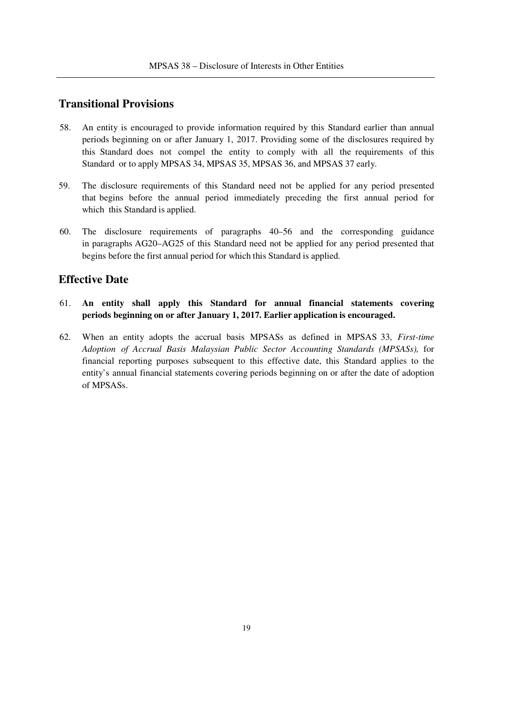## **Transitional Provisions**

- 58. An entity is encouraged to provide information required by this Standard earlier than annual periods beginning on or after January 1, 2017. Providing some of the disclosures required by this Standard does not compel the entity to comply with all the requirements of this Standard or to apply MPSAS 34, MPSAS 35, MPSAS 36, and MPSAS 37 early.
- 59. The disclosure requirements of this Standard need not be applied for any period presented that begins before the annual period immediately preceding the first annual period for which this Standard is applied.
- 60. The disclosure requirements of paragraphs 40–56 and the corresponding guidance in paragraphs AG20–AG25 of this Standard need not be applied for any period presented that begins before the first annual period for which this Standard is applied.

## **Effective Date**

- 61. **An entity shall apply this Standard for annual financial statements covering periods beginning on or after January 1, 2017. Earlier application is encouraged.**
- 62. When an entity adopts the accrual basis MPSASs as defined in MPSAS 33, *First-time Adoption of Accrual Basis Malaysian Public Sector Accounting Standards (MPSASs),* for financial reporting purposes subsequent to this effective date, this Standard applies to the entity's annual financial statements covering periods beginning on or after the date of adoption of MPSASs.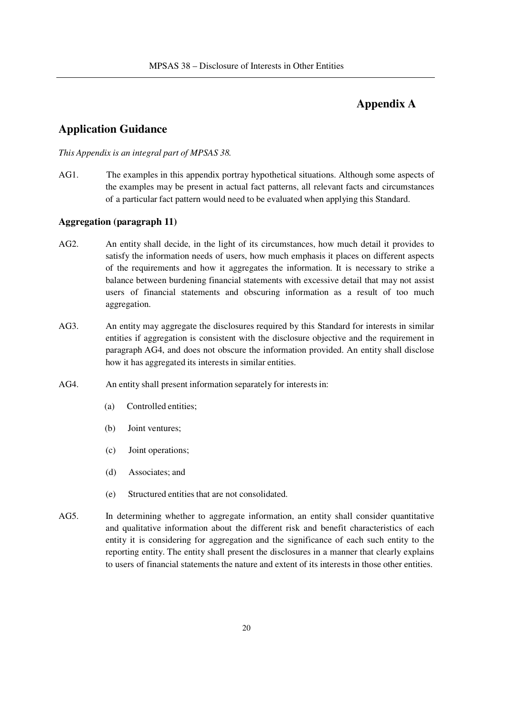## **Appendix A**

## **Application Guidance**

#### *This Appendix is an integral part of MPSAS 38.*

AG1. The examples in this appendix portray hypothetical situations. Although some aspects of the examples may be present in actual fact patterns, all relevant facts and circumstances of a particular fact pattern would need to be evaluated when applying this Standard.

#### **Aggregation (paragraph 11)**

- AG2. An entity shall decide, in the light of its circumstances, how much detail it provides to satisfy the information needs of users, how much emphasis it places on different aspects of the requirements and how it aggregates the information. It is necessary to strike a balance between burdening financial statements with excessive detail that may not assist users of financial statements and obscuring information as a result of too much aggregation.
- AG3. An entity may aggregate the disclosures required by this Standard for interests in similar entities if aggregation is consistent with the disclosure objective and the requirement in paragraph AG4, and does not obscure the information provided. An entity shall disclose how it has aggregated its interests in similar entities.
- AG4. An entity shall present information separately for interests in:
	- (a) Controlled entities;
	- (b) Joint ventures;
	- (c) Joint operations;
	- (d) Associates; and
	- (e) Structured entities that are not consolidated.
- AG5. In determining whether to aggregate information, an entity shall consider quantitative and qualitative information about the different risk and benefit characteristics of each entity it is considering for aggregation and the significance of each such entity to the reporting entity. The entity shall present the disclosures in a manner that clearly explains to users of financial statements the nature and extent of its interests in those other entities.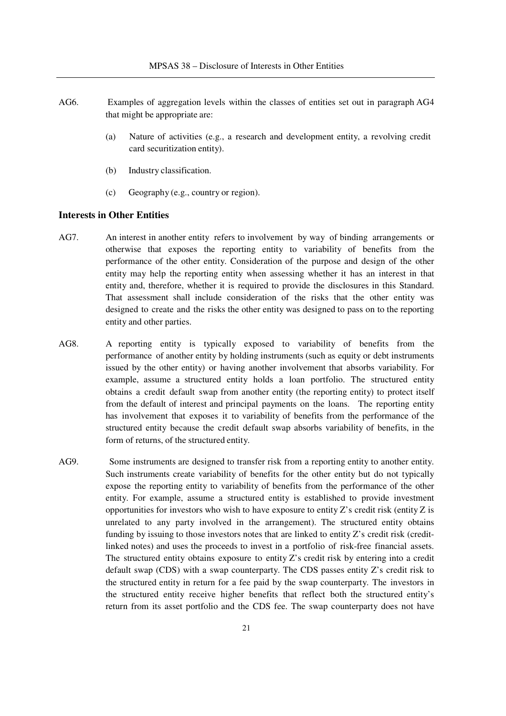- AG6. Examples of aggregation levels within the classes of entities set out in paragraph AG4 that might be appropriate are:
	- (a) Nature of activities (e.g., a research and development entity, a revolving credit card securitization entity).
	- (b) Industry classification.
	- (c) Geography (e.g., country or region).

#### **Interests in Other Entities**

- AG7. An interest in another entity refers to involvement by way of binding arrangements or otherwise that exposes the reporting entity to variability of benefits from the performance of the other entity. Consideration of the purpose and design of the other entity may help the reporting entity when assessing whether it has an interest in that entity and, therefore, whether it is required to provide the disclosures in this Standard. That assessment shall include consideration of the risks that the other entity was designed to create and the risks the other entity was designed to pass on to the reporting entity and other parties.
- AG8. A reporting entity is typically exposed to variability of benefits from the performance of another entity by holding instruments (such as equity or debt instruments issued by the other entity) or having another involvement that absorbs variability. For example, assume a structured entity holds a loan portfolio. The structured entity obtains a credit default swap from another entity (the reporting entity) to protect itself from the default of interest and principal payments on the loans. The reporting entity has involvement that exposes it to variability of benefits from the performance of the structured entity because the credit default swap absorbs variability of benefits, in the form of returns, of the structured entity.
- AG9. Some instruments are designed to transfer risk from a reporting entity to another entity. Such instruments create variability of benefits for the other entity but do not typically expose the reporting entity to variability of benefits from the performance of the other entity. For example, assume a structured entity is established to provide investment opportunities for investors who wish to have exposure to entity  $Z$ 's credit risk (entity  $Z$  is unrelated to any party involved in the arrangement). The structured entity obtains funding by issuing to those investors notes that are linked to entity Z's credit risk (creditlinked notes) and uses the proceeds to invest in a portfolio of risk-free financial assets. The structured entity obtains exposure to entity Z's credit risk by entering into a credit default swap (CDS) with a swap counterparty. The CDS passes entity Z's credit risk to the structured entity in return for a fee paid by the swap counterparty. The investors in the structured entity receive higher benefits that reflect both the structured entity's return from its asset portfolio and the CDS fee. The swap counterparty does not have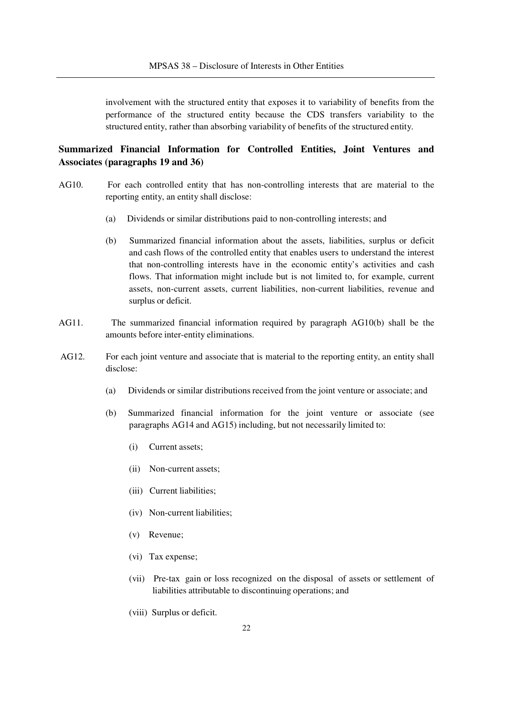involvement with the structured entity that exposes it to variability of benefits from the performance of the structured entity because the CDS transfers variability to the structured entity, rather than absorbing variability of benefits of the structured entity.

## **Summarized Financial Information for Controlled Entities, Joint Ventures and Associates (paragraphs 19 and 36)**

- AG10. For each controlled entity that has non-controlling interests that are material to the reporting entity, an entity shall disclose:
	- (a) Dividends or similar distributions paid to non-controlling interests; and
	- (b) Summarized financial information about the assets, liabilities, surplus or deficit and cash flows of the controlled entity that enables users to understand the interest that non-controlling interests have in the economic entity's activities and cash flows. That information might include but is not limited to, for example, current assets, non-current assets, current liabilities, non-current liabilities, revenue and surplus or deficit.
- AG11. The summarized financial information required by paragraph AG10(b) shall be the amounts before inter-entity eliminations.
- AG12. For each joint venture and associate that is material to the reporting entity, an entity shall disclose:
	- (a) Dividends or similar distributions received from the joint venture or associate; and
	- (b) Summarized financial information for the joint venture or associate (see paragraphs AG14 and AG15) including, but not necessarily limited to:
		- (i) Current assets;
		- (ii) Non-current assets;
		- (iii) Current liabilities;
		- (iv) Non-current liabilities;
		- (v) Revenue;
		- (vi) Tax expense;
		- (vii) Pre-tax gain or loss recognized on the disposal of assets or settlement of liabilities attributable to discontinuing operations; and
		- (viii) Surplus or deficit.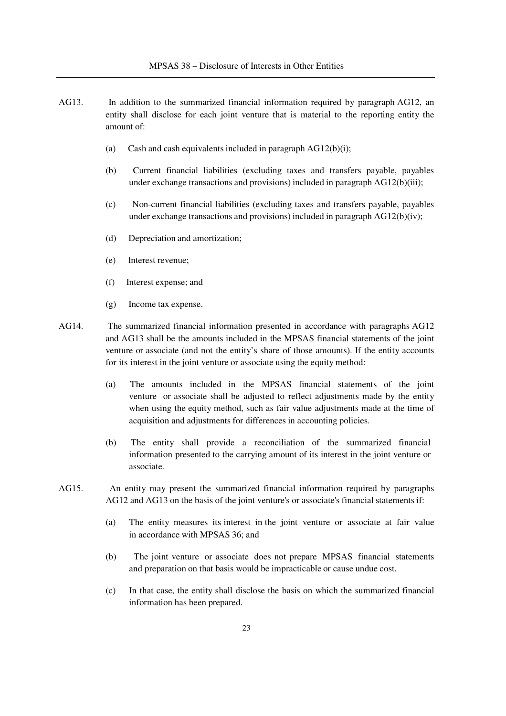- AG13. In addition to the summarized financial information required by paragraph AG12, an entity shall disclose for each joint venture that is material to the reporting entity the amount of:
	- (a) Cash and cash equivalents included in paragraph  $AG12(b)(i)$ ;
	- (b) Current financial liabilities (excluding taxes and transfers payable, payables under exchange transactions and provisions) included in paragraph  $AG12(b)(iii)$ ;
	- (c) Non-current financial liabilities (excluding taxes and transfers payable, payables under exchange transactions and provisions) included in paragraph AG12(b)(iv);
	- (d) Depreciation and amortization;
	- (e) Interest revenue;
	- (f) Interest expense; and
	- (g) Income tax expense.
- AG14. The summarized financial information presented in accordance with paragraphs AG12 and AG13 shall be the amounts included in the MPSAS financial statements of the joint venture or associate (and not the entity's share of those amounts). If the entity accounts for its interest in the joint venture or associate using the equity method:
	- (a) The amounts included in the MPSAS financial statements of the joint venture or associate shall be adjusted to reflect adjustments made by the entity when using the equity method, such as fair value adjustments made at the time of acquisition and adjustments for differences in accounting policies.
	- (b) The entity shall provide a reconciliation of the summarized financial information presented to the carrying amount of its interest in the joint venture or associate.
- AG15. An entity may present the summarized financial information required by paragraphs AG12 and AG13 on the basis of the joint venture's or associate's financial statements if:
	- (a) The entity measures its interest in the joint venture or associate at fair value in accordance with MPSAS 36; and
	- (b) The joint venture or associate does not prepare MPSAS financial statements and preparation on that basis would be impracticable or cause undue cost.
	- (c) In that case, the entity shall disclose the basis on which the summarized financial information has been prepared.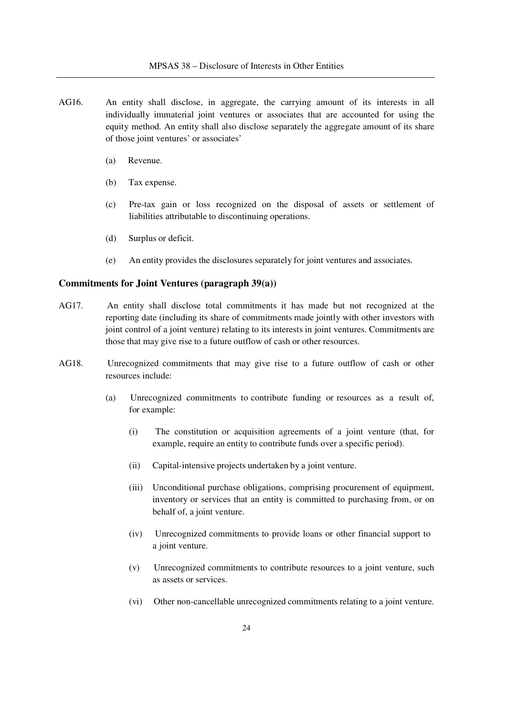- AG16. An entity shall disclose, in aggregate, the carrying amount of its interests in all individually immaterial joint ventures or associates that are accounted for using the equity method. An entity shall also disclose separately the aggregate amount of its share of those joint ventures' or associates'
	- (a) Revenue.
	- (b) Tax expense.
	- (c) Pre-tax gain or loss recognized on the disposal of assets or settlement of liabilities attributable to discontinuing operations.
	- (d) Surplus or deficit.
	- (e) An entity provides the disclosures separately for joint ventures and associates.

#### **Commitments for Joint Ventures (paragraph 39(a))**

- AG17. An entity shall disclose total commitments it has made but not recognized at the reporting date (including its share of commitments made jointly with other investors with joint control of a joint venture) relating to its interests in joint ventures. Commitments are those that may give rise to a future outflow of cash or other resources.
- AG18. Unrecognized commitments that may give rise to a future outflow of cash or other resources include:
	- (a) Unrecognized commitments to contribute funding or resources as a result of, for example:
		- (i) The constitution or acquisition agreements of a joint venture (that, for example, require an entity to contribute funds over a specific period).
		- (ii) Capital-intensive projects undertaken by a joint venture.
		- (iii) Unconditional purchase obligations, comprising procurement of equipment, inventory or services that an entity is committed to purchasing from, or on behalf of, a joint venture.
		- (iv) Unrecognized commitments to provide loans or other financial support to a joint venture.
		- (v) Unrecognized commitments to contribute resources to a joint venture, such as assets or services.
		- (vi) Other non-cancellable unrecognized commitments relating to a joint venture.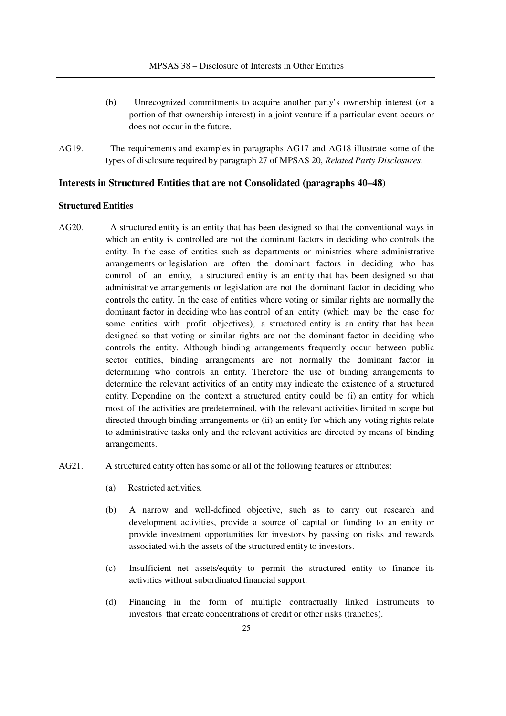- (b) Unrecognized commitments to acquire another party's ownership interest (or a portion of that ownership interest) in a joint venture if a particular event occurs or does not occur in the future.
- AG19. The requirements and examples in paragraphs AG17 and AG18 illustrate some of the types of disclosure required by paragraph 27 of MPSAS 20, *Related Party Disclosures*.

#### **Interests in Structured Entities that are not Consolidated (paragraphs 40–48)**

#### **Structured Entities**

- AG20. A structured entity is an entity that has been designed so that the conventional ways in which an entity is controlled are not the dominant factors in deciding who controls the entity. In the case of entities such as departments or ministries where administrative arrangements or legislation are often the dominant factors in deciding who has control of an entity, a structured entity is an entity that has been designed so that administrative arrangements or legislation are not the dominant factor in deciding who controls the entity. In the case of entities where voting or similar rights are normally the dominant factor in deciding who has control of an entity (which may be the case for some entities with profit objectives), a structured entity is an entity that has been designed so that voting or similar rights are not the dominant factor in deciding who controls the entity. Although binding arrangements frequently occur between public sector entities, binding arrangements are not normally the dominant factor in determining who controls an entity. Therefore the use of binding arrangements to determine the relevant activities of an entity may indicate the existence of a structured entity. Depending on the context a structured entity could be (i) an entity for which most of the activities are predetermined, with the relevant activities limited in scope but directed through binding arrangements or (ii) an entity for which any voting rights relate to administrative tasks only and the relevant activities are directed by means of binding arrangements.
- AG21. A structured entity often has some or all of the following features or attributes:
	- (a) Restricted activities.
	- (b) A narrow and well-defined objective, such as to carry out research and development activities, provide a source of capital or funding to an entity or provide investment opportunities for investors by passing on risks and rewards associated with the assets of the structured entity to investors.
	- (c) Insufficient net assets/equity to permit the structured entity to finance its activities without subordinated financial support.
	- (d) Financing in the form of multiple contractually linked instruments to investors that create concentrations of credit or other risks (tranches).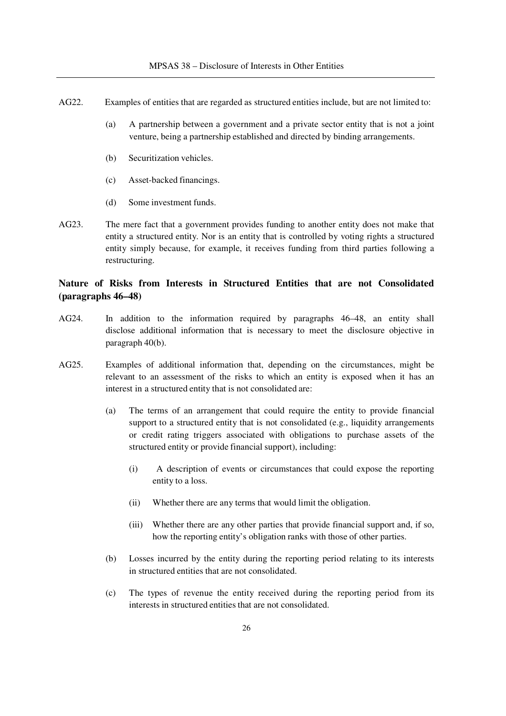- AG22. Examples of entities that are regarded as structured entities include, but are not limited to:
	- (a) A partnership between a government and a private sector entity that is not a joint venture, being a partnership established and directed by binding arrangements.
	- (b) Securitization vehicles.
	- (c) Asset-backed financings.
	- (d) Some investment funds.
- AG23. The mere fact that a government provides funding to another entity does not make that entity a structured entity. Nor is an entity that is controlled by voting rights a structured entity simply because, for example, it receives funding from third parties following a restructuring.

## **Nature of Risks from Interests in Structured Entities that are not Consolidated (paragraphs 46–48)**

- AG24. In addition to the information required by paragraphs 46–48, an entity shall disclose additional information that is necessary to meet the disclosure objective in paragraph 40(b).
- AG25. Examples of additional information that, depending on the circumstances, might be relevant to an assessment of the risks to which an entity is exposed when it has an interest in a structured entity that is not consolidated are:
	- (a) The terms of an arrangement that could require the entity to provide financial support to a structured entity that is not consolidated (e.g., liquidity arrangements or credit rating triggers associated with obligations to purchase assets of the structured entity or provide financial support), including:
		- (i) A description of events or circumstances that could expose the reporting entity to a loss.
		- (ii) Whether there are any terms that would limit the obligation.
		- (iii) Whether there are any other parties that provide financial support and, if so, how the reporting entity's obligation ranks with those of other parties.
	- (b) Losses incurred by the entity during the reporting period relating to its interests in structured entities that are not consolidated.
	- (c) The types of revenue the entity received during the reporting period from its interests in structured entities that are not consolidated.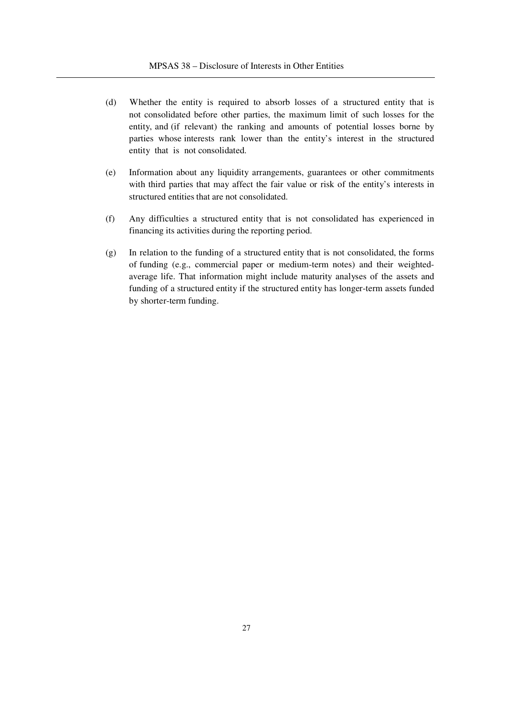- (d) Whether the entity is required to absorb losses of a structured entity that is not consolidated before other parties, the maximum limit of such losses for the entity, and (if relevant) the ranking and amounts of potential losses borne by parties whose interests rank lower than the entity's interest in the structured entity that is not consolidated.
- (e) Information about any liquidity arrangements, guarantees or other commitments with third parties that may affect the fair value or risk of the entity's interests in structured entities that are not consolidated.
- (f) Any difficulties a structured entity that is not consolidated has experienced in financing its activities during the reporting period.
- (g) In relation to the funding of a structured entity that is not consolidated, the forms of funding (e.g., commercial paper or medium-term notes) and their weightedaverage life. That information might include maturity analyses of the assets and funding of a structured entity if the structured entity has longer-term assets funded by shorter-term funding.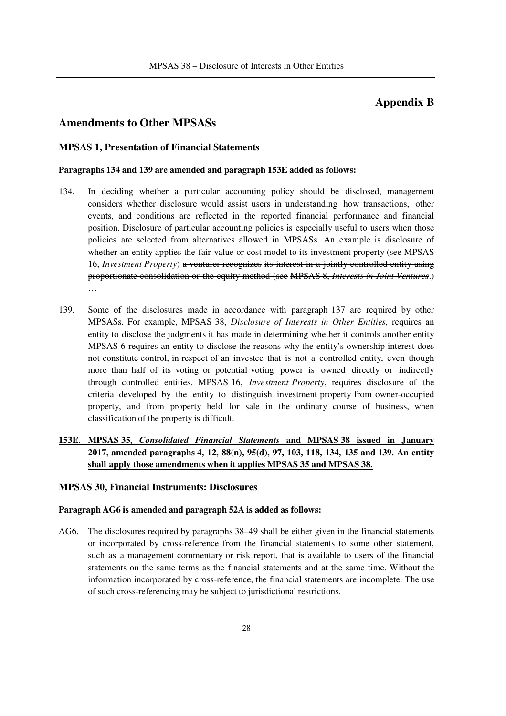## **Appendix B**

## **Amendments to Other MPSASs**

#### **MPSAS 1, Presentation of Financial Statements**

#### **Paragraphs 134 and 139 are amended and paragraph 153E added as follows:**

- 134. In deciding whether a particular accounting policy should be disclosed, management considers whether disclosure would assist users in understanding how transactions, other events, and conditions are reflected in the reported financial performance and financial position. Disclosure of particular accounting policies is especially useful to users when those policies are selected from alternatives allowed in MPSASs. An example is disclosure of whether an entity applies the fair value or cost model to its investment property (see MPSAS 16, *Investment Property*) a venturer recognizes its interest in a jointly controlled entity using proportionate consolidation or the equity method (see MPSAS 8, *Interests in Joint Ventures*.) …
- 139. Some of the disclosures made in accordance with paragraph 137 are required by other MPSASs. For example, MPSAS 38, *Disclosure of Interests in Other Entities,* requires an entity to disclose the judgments it has made in determining whether it controls another entity MPSAS 6 requires an entity to disclose the reasons why the entity's ownership interest does not constitute control, in respect of an investee that is not a controlled entity, even though more than half of its voting or potential voting power is owned directly or indirectly through controlled entities. MPSAS 16, *Investment Property*, requires disclosure of the criteria developed by the entity to distinguish investment property from owner-occupied property, and from property held for sale in the ordinary course of business, when classification of the property is difficult.

## **153E**. **MPSAS 35,** *Consolidated Financial Statements* **and MPSAS 38 issued in January 2017, amended paragraphs 4, 12, 88(n), 95(d), 97, 103, 118, 134, 135 and 139. An entity shall apply those amendments when it applies MPSAS 35 and MPSAS 38.**

#### **MPSAS 30, Financial Instruments: Disclosures**

#### **Paragraph AG6 is amended and paragraph 52A is added as follows:**

AG6. The disclosures required by paragraphs 38–49 shall be either given in the financial statements or incorporated by cross-reference from the financial statements to some other statement, such as a management commentary or risk report, that is available to users of the financial statements on the same terms as the financial statements and at the same time. Without the information incorporated by cross-reference, the financial statements are incomplete. The use of such cross-referencing may be subject to jurisdictional restrictions.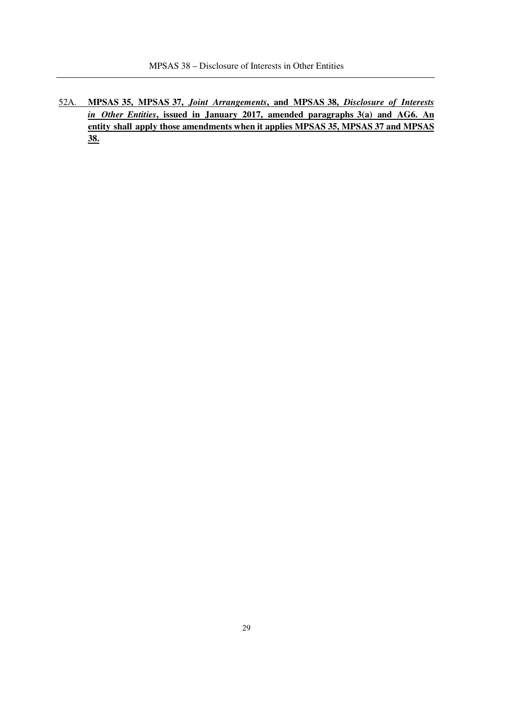52A. **MPSAS 35, MPSAS 37,** *Joint Arrangements***, and MPSAS 38,** *Disclosure of Interests in Other Entities***, issued in January 2017, amended paragraphs 3(a) and AG6. An entity shall apply those amendments when it applies MPSAS 35, MPSAS 37 and MPSAS 38.**